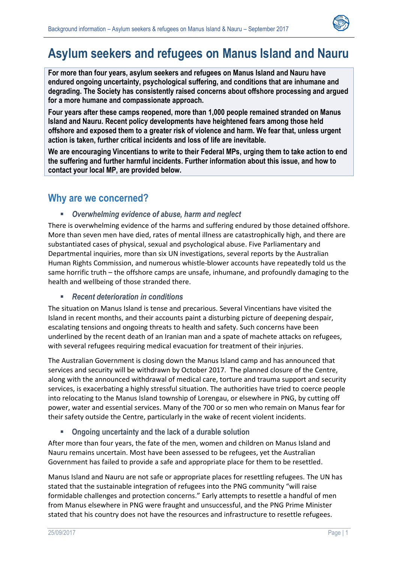

# **Asylum seekers and refugees on Manus Island and Nauru**

**For more than four years, asylum seekers and refugees on Manus Island and Nauru have endured ongoing uncertainty, psychological suffering, and conditions that are inhumane and degrading. The Society has consistently raised concerns about offshore processing and argued for a more humane and compassionate approach.** 

**Four years after these camps reopened, more than 1,000 people remained stranded on Manus Island and Nauru. Recent policy developments have heightened fears among those held offshore and exposed them to a greater risk of violence and harm. We fear that, unless urgent action is taken, further critical incidents and loss of life are inevitable.** 

**We are encouraging Vincentians to write to their Federal MPs, urging them to take action to end the suffering and further harmful incidents. Further information about this issue, and how to contact your local MP, are provided below.**

### **Why are we concerned?**

#### *Overwhelming evidence of abuse, harm and neglect*

There is overwhelming evidence of the harms and suffering endured by those detained offshore. More than seven men have died, rates of mental illness are catastrophically high, and there are substantiated cases of physical, sexual and psychological abuse. Five Parliamentary and Departmental inquiries, more than six UN investigations, several reports by the Australian Human Rights Commission, and numerous whistle-blower accounts have repeatedly told us the same horrific truth – the offshore camps are unsafe, inhumane, and profoundly damaging to the health and wellbeing of those stranded there.

#### *Recent deterioration in conditions*

The situation on Manus Island is tense and precarious. Several Vincentians have visited the Island in recent months, and their accounts paint a disturbing picture of deepening despair, escalating tensions and ongoing threats to health and safety. Such concerns have been underlined by the recent death of an Iranian man and a spate of machete attacks on refugees, with several refugees requiring medical evacuation for treatment of their injuries.

The Australian Government is closing down the Manus Island camp and has announced that services and security will be withdrawn by October 2017. The planned closure of the Centre, along with the announced withdrawal of medical care, torture and trauma support and security services, is exacerbating a highly stressful situation. The authorities have tried to coerce people into relocating to the Manus Island township of Lorengau, or elsewhere in PNG, by cutting off power, water and essential services. Many of the 700 or so men who remain on Manus fear for their safety outside the Centre, particularly in the wake of recent violent incidents.

#### **Ongoing uncertainty and the lack of a durable solution**

After more than four years, the fate of the men, women and children on Manus Island and Nauru remains uncertain. Most have been assessed to be refugees, yet the Australian Government has failed to provide a safe and appropriate place for them to be resettled.

Manus Island and Nauru are not safe or appropriate places for resettling refugees. The UN has stated that the sustainable integration of refugees into the PNG community "will raise formidable challenges and protection concerns." Early attempts to resettle a handful of men from Manus elsewhere in PNG were fraught and unsuccessful, and the PNG Prime Minister stated that his country does not have the resources and infrastructure to resettle refugees.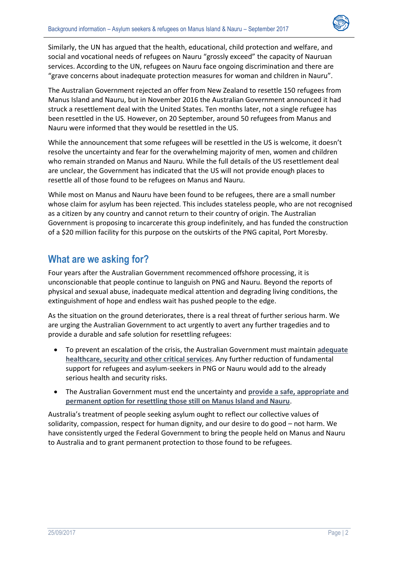

Similarly, the UN has argued that the health, educational, child protection and welfare, and social and vocational needs of refugees on Nauru "grossly exceed" the capacity of Nauruan services. According to the UN, refugees on Nauru face ongoing discrimination and there are "grave concerns about inadequate protection measures for woman and children in Nauru".

The Australian Government rejected an offer from New Zealand to resettle 150 refugees from Manus Island and Nauru, but in November 2016 the Australian Government announced it had struck a resettlement deal with the United States. Ten months later, not a single refugee has been resettled in the US. However, on 20 September, around 50 refugees from Manus and Nauru were informed that they would be resettled in the US.

While the announcement that some refugees will be resettled in the US is welcome, it doesn't resolve the uncertainty and fear for the overwhelming majority of men, women and children who remain stranded on Manus and Nauru. While the full details of the US resettlement deal are unclear, the Government has indicated that the US will not provide enough places to resettle all of those found to be refugees on Manus and Nauru.

While most on Manus and Nauru have been found to be refugees, there are a small number whose claim for asylum has been rejected. This includes stateless people, who are not recognised as a citizen by any country and cannot return to their country of origin. The Australian Government is proposing to incarcerate this group indefinitely, and has funded the construction of a \$20 million facility for this purpose on the outskirts of the PNG capital, Port Moresby.

### **What are we asking for?**

Four years after the Australian Government recommenced offshore processing, it is unconscionable that people continue to languish on PNG and Nauru. Beyond the reports of physical and sexual abuse, inadequate medical attention and degrading living conditions, the extinguishment of hope and endless wait has pushed people to the edge.

As the situation on the ground deteriorates, there is a real threat of further serious harm. We are urging the Australian Government to act urgently to avert any further tragedies and to provide a durable and safe solution for resettling refugees:

- To prevent an escalation of the crisis, the Australian Government must maintain **adequate healthcare, security and other critical services**. Any further reduction of fundamental support for refugees and asylum-seekers in PNG or Nauru would add to the already serious health and security risks.
- The Australian Government must end the uncertainty and **provide a safe, appropriate and permanent option for resettling those still on Manus Island and Nauru**.

Australia's treatment of people seeking asylum ought to reflect our collective values of solidarity, compassion, respect for human dignity, and our desire to do good – not harm. We have consistently urged the Federal Government to bring the people held on Manus and Nauru to Australia and to grant permanent protection to those found to be refugees.